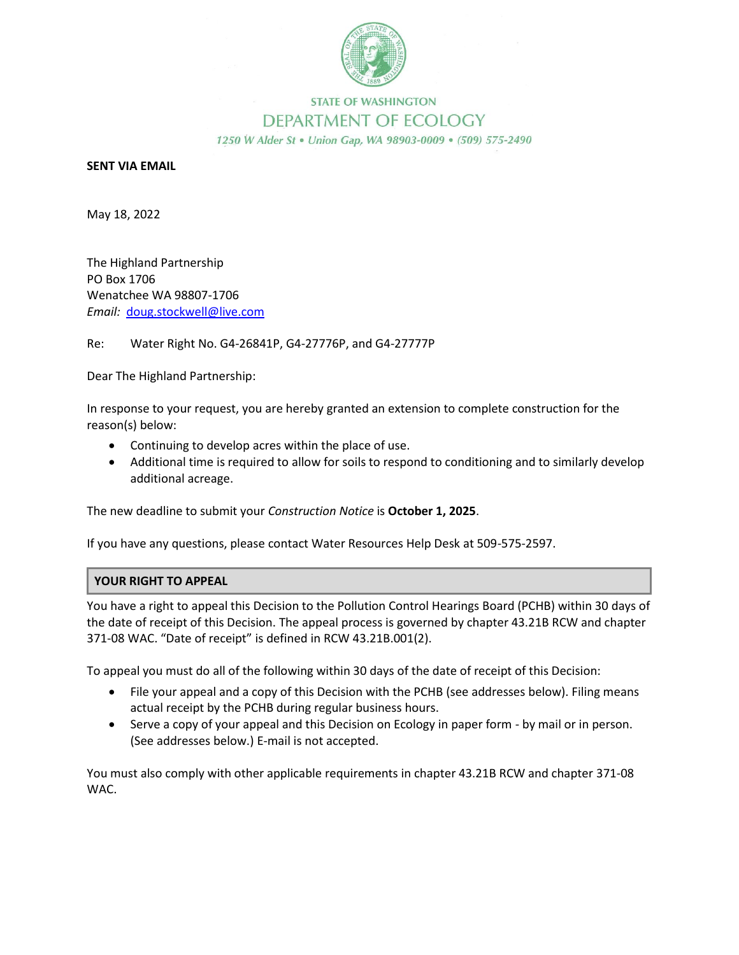

## **STATE OF WASHINGTON** DEPARTMENT OF ECOLOGY 1250 W Alder St . Union Gap, WA 98903-0009 . (509) 575-2490

## **SENT VIA EMAIL**

May 18, 2022

The Highland Partnership PO Box 1706 Wenatchee WA 98807-1706 *Email:* doug.stockwell@live.com

Re: Water Right No. G4-26841P, G4-27776P, and G4-27777P

Dear The Highland Partnership:

In response to your request, you are hereby granted an extension to complete construction for the reason(s) below:

- Continuing to develop acres within the place of use.
- Additional time is required to allow for soils to respond to conditioning and to similarly develop additional acreage.

The new deadline to submit your *Construction Notice* is **October 1, 2025**.

If you have any questions, please contact Water Resources Help Desk at 509-575-2597.

## **YOUR RIGHT TO APPEAL**

You have a right to appeal this Decision to the Pollution Control Hearings Board (PCHB) within 30 days of the date of receipt of this Decision. The appeal process is governed by chapter 43.21B RCW and chapter 371-08 WAC. "Date of receipt" is defined in RCW 43.21B.001(2).

To appeal you must do all of the following within 30 days of the date of receipt of this Decision:

- File your appeal and a copy of this Decision with the PCHB (see addresses below). Filing means actual receipt by the PCHB during regular business hours.
- Serve a copy of your appeal and this Decision on Ecology in paper form by mail or in person. (See addresses below.) E-mail is not accepted.

You must also comply with other applicable requirements in chapter 43.21B RCW and chapter 371-08 WAC.